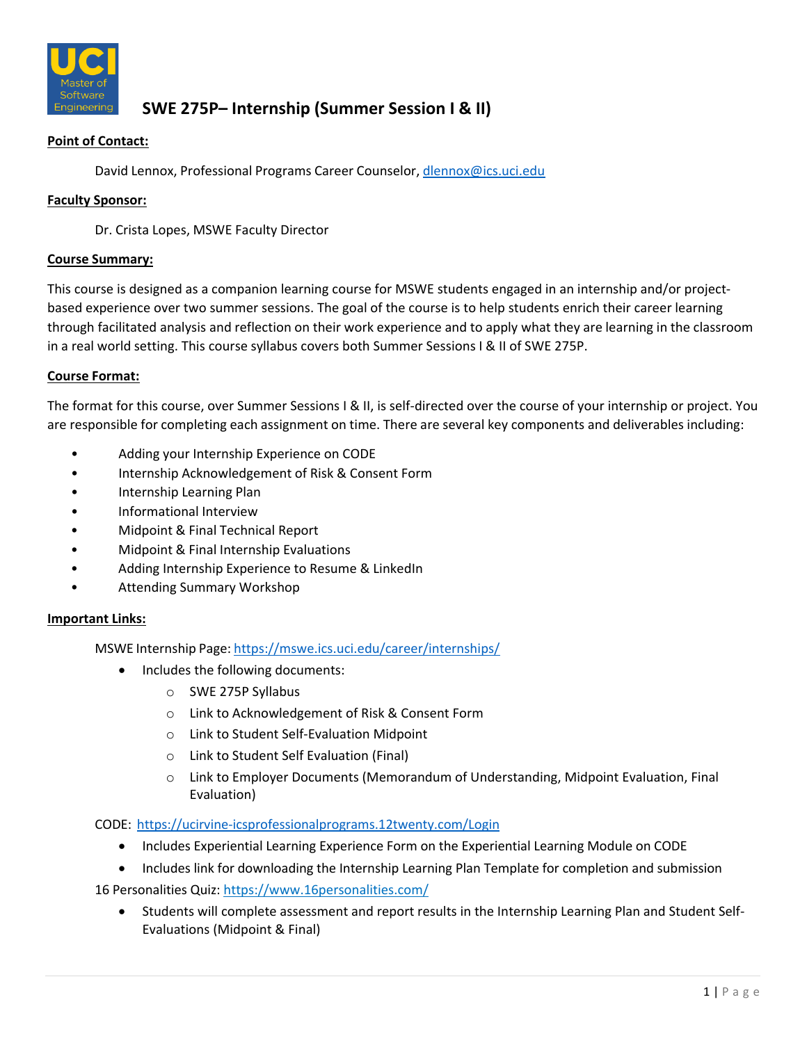

# **SWE 275P– Internship (Summer Session I & II)**

# **Point of Contact:**

David Lennox, Professional Programs Career Counselor, dlennox@ics.uci.edu

## **Faculty Sponsor:**

Dr. Crista Lopes, MSWE Faculty Director

### **Course Summary:**

This course is designed as a companion learning course for MSWE students engaged in an internship and/or project‐ based experience over two summer sessions. The goal of the course is to help students enrich their career learning through facilitated analysis and reflection on their work experience and to apply what they are learning in the classroom in a real world setting. This course syllabus covers both Summer Sessions I & II of SWE 275P.

## **Course Format:**

The format for this course, over Summer Sessions I & II, is self‐directed over the course of your internship or project. You are responsible for completing each assignment on time. There are several key components and deliverables including:

- Adding your Internship Experience on CODE
- Internship Acknowledgement of Risk & Consent Form
- Internship Learning Plan
- Informational Interview
- Midpoint & Final Technical Report
- Midpoint & Final Internship Evaluations
- Adding Internship Experience to Resume & LinkedIn
- Attending Summary Workshop

## **Important Links:**

MSWE Internship Page: https://mswe.ics.uci.edu/career/internships/

- Includes the following documents:
	- o SWE 275P Syllabus
	- o Link to Acknowledgement of Risk & Consent Form
	- o Link to Student Self‐Evaluation Midpoint
	- o Link to Student Self Evaluation (Final)
	- $\circ$  Link to Employer Documents (Memorandum of Understanding, Midpoint Evaluation, Final Evaluation)

## CODE: https://ucirvine‐icsprofessionalprograms.12twenty.com/Login

- Includes Experiential Learning Experience Form on the Experiential Learning Module on CODE
- Includes link for downloading the Internship Learning Plan Template for completion and submission

16 Personalities Quiz: https://www.16personalities.com/

• Students will complete assessment and report results in the Internship Learning Plan and Student Self-Evaluations (Midpoint & Final)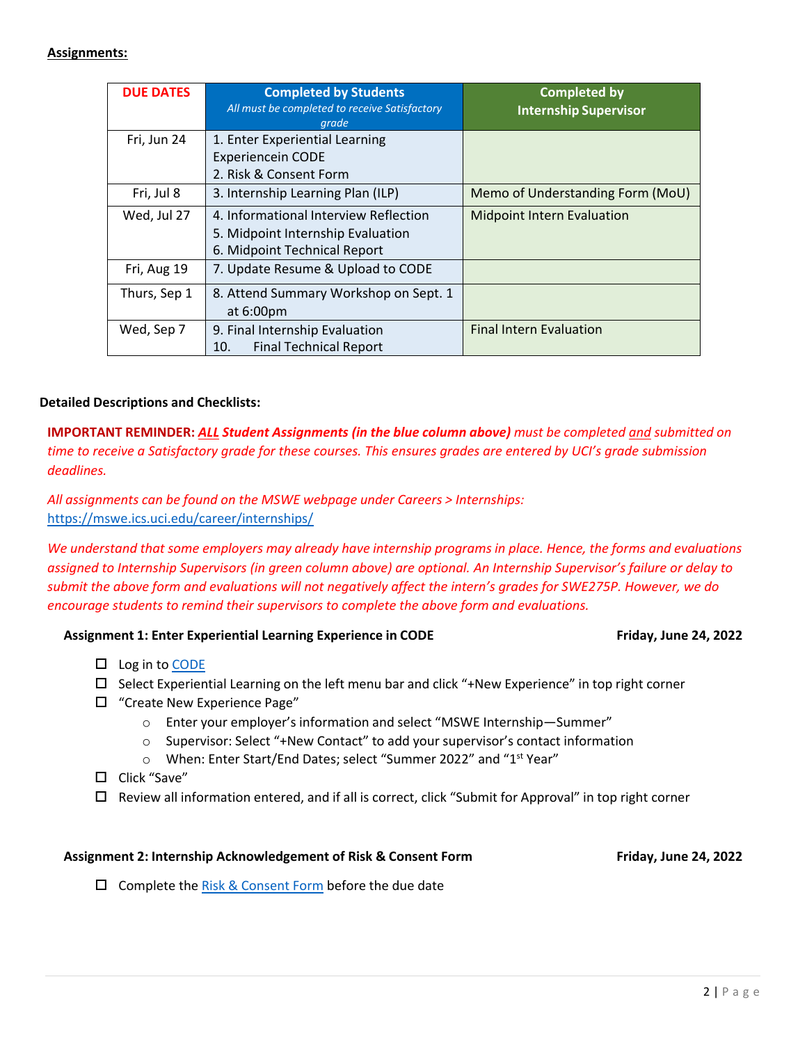## **Assignments:**

| <b>DUE DATES</b> | <b>Completed by Students</b><br>All must be completed to receive Satisfactory<br>grade                     | <b>Completed by</b><br><b>Internship Supervisor</b> |
|------------------|------------------------------------------------------------------------------------------------------------|-----------------------------------------------------|
| Fri, Jun 24      | 1. Enter Experiential Learning<br><b>Experiencein CODE</b><br>2. Risk & Consent Form                       |                                                     |
| Fri, Jul 8       | 3. Internship Learning Plan (ILP)                                                                          | Memo of Understanding Form (MoU)                    |
| Wed, Jul 27      | 4. Informational Interview Reflection<br>5. Midpoint Internship Evaluation<br>6. Midpoint Technical Report | <b>Midpoint Intern Evaluation</b>                   |
| Fri, Aug 19      | 7. Update Resume & Upload to CODE                                                                          |                                                     |
| Thurs, Sep 1     | 8. Attend Summary Workshop on Sept. 1<br>at $6:00 \text{pm}$                                               |                                                     |
| Wed, Sep 7       | 9. Final Internship Evaluation<br><b>Final Technical Report</b><br>10.                                     | <b>Final Intern Evaluation</b>                      |

## **Detailed Descriptions and Checklists:**

**IMPORTANT REMINDER:** *ALL Student Assignments (in the blue column above) must be completed and submitted on* time to receive a Satisfactory grade for these courses. This ensures grades are entered by UCI's grade submission *deadlines.*

*All assignments can be found on the MSWE webpage under Careers > Internships:* https://mswe.ics.uci.edu/career/internships/

We understand that some employers may already have internship programs in place. Hence, the forms and evaluations assigned to Internship Supervisors (in green column above) are optional. An Internship Supervisor's failure or delay to submit the above form and evaluations will not negatively affect the intern's grades for SWE275P. However, we do *encourage students to remind their supervisors to complete the above form and evaluations.*

## **Assignment 1: Enter Experiential Learning Experience in CODE Friday, June 24, 2022**

- $\square$  Log in to CODE
- $\Box$  Select Experiential Learning on the left menu bar and click "+New Experience" in top right corner
- "Create New Experience Page"
	- o Enter your employer's information and select "MSWE Internship—Summer"
	- o Supervisor: Select "+New Contact" to add your supervisor's contact information
	- o When: Enter Start/End Dates; select "Summer 2022" and "1st Year"
- □ Click "Save"
- $\Box$  Review all information entered, and if all is correct, click "Submit for Approval" in top right corner

### **Assignment 2: Internship Acknowledgement of Risk & Consent Form Friday, June 24, 2022**

 $\square$  Complete the Risk & Consent Form before the due date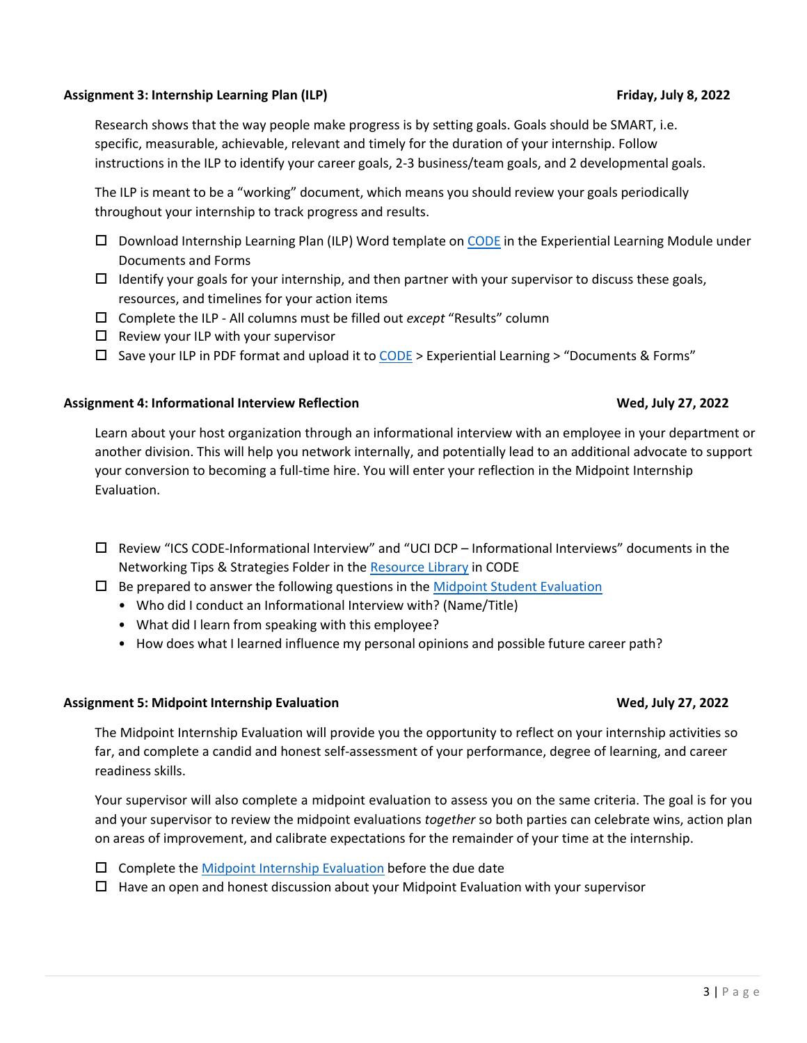### **Assignment 3: Internship Learning Plan (ILP) Friday, July 8, 2022**

Research shows that the way people make progress is by setting goals. Goals should be SMART, i.e. specific, measurable, achievable, relevant and timely for the duration of your internship. Follow instructions in the ILP to identify your career goals, 2‐3 business/team goals, and 2 developmental goals.

The ILP is meant to be a "working" document, which means you should review your goals periodically throughout your internship to track progress and results.

- $\Box$  Download Internship Learning Plan (ILP) Word template on CODE in the Experiential Learning Module under Documents and Forms
- $\Box$  Identify your goals for your internship, and then partner with your supervisor to discuss these goals, resources, and timelines for your action items
- Complete the ILP ‐ All columns must be filled out *except* "Results" column
- $\Box$  Review your ILP with your supervisor
- $\Box$  Save your ILP in PDF format and upload it to CODE > Experiential Learning > "Documents & Forms"

## **Assignment 4: Informational Interview Reflection Wed, July 27, 2022**

Learn about your host organization through an informational interview with an employee in your department or another division. This will help you network internally, and potentially lead to an additional advocate to support your conversion to becoming a full‐time hire. You will enter your reflection in the Midpoint Internship Evaluation.

- Review "ICS CODE‐Informational Interview" and "UCI DCP Informational Interviews" documents in the Networking Tips & Strategies Folder in the Resource Library in CODE
- $\Box$  Be prepared to answer the following questions in the Midpoint Student Evaluation
	- Who did I conduct an Informational Interview with? (Name/Title)
	- What did I learn from speaking with this employee?
	- How does what I learned influence my personal opinions and possible future career path?

## **Assignment 5: Midpoint Internship Evaluation Wed, July 27, 2022**

The Midpoint Internship Evaluation will provide you the opportunity to reflect on your internship activities so far, and complete a candid and honest self‐assessment of your performance, degree of learning, and career readiness skills.

Your supervisor will also complete a midpoint evaluation to assess you on the same criteria. The goal is for you and your supervisor to review the midpoint evaluations *together* so both parties can celebrate wins, action plan on areas of improvement, and calibrate expectations for the remainder of your time at the internship.

- $\square$  Complete the Midpoint Internship Evaluation before the due date
- $\Box$  Have an open and honest discussion about your Midpoint Evaluation with your supervisor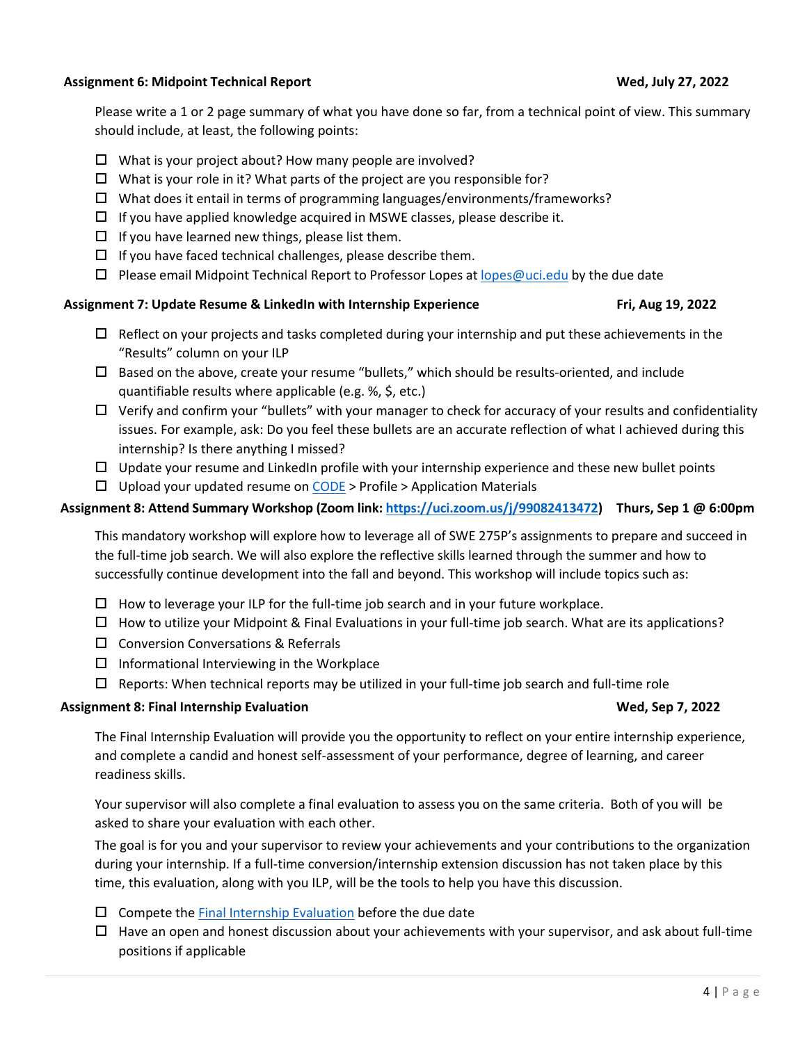## **Assignment 6: Midpoint Technical Report Wed, July 27, 2022**

Please write a 1 or 2 page summary of what you have done so far, from a technical point of view. This summary should include, at least, the following points:

- $\Box$  What is your project about? How many people are involved?
- $\Box$  What is your role in it? What parts of the project are you responsible for?
- $\Box$  What does it entail in terms of programming languages/environments/frameworks?
- $\Box$  If you have applied knowledge acquired in MSWE classes, please describe it.
- $\Box$  If you have learned new things, please list them.
- $\Box$  If you have faced technical challenges, please describe them.
- $\square$  Please email Midpoint Technical Report to Professor Lopes at lopes@uci.edu by the due date

### **Assignment 7: Update Resume & LinkedIn with Internship Experience Fri, Aug 19, 2022**

- $\Box$  Reflect on your projects and tasks completed during your internship and put these achievements in the "Results" column on your ILP
- $\square$  Based on the above, create your resume "bullets," which should be results-oriented, and include quantifiable results where applicable (e.g. %, \$, etc.)
- $\Box$  Verify and confirm your "bullets" with your manager to check for accuracy of your results and confidentiality issues. For example, ask: Do you feel these bullets are an accurate reflection of what I achieved during this internship? Is there anything I missed?
- $\Box$  Update your resume and LinkedIn profile with your internship experience and these new bullet points
- $\Box$  Upload your updated resume on CODE > Profile > Application Materials

### **Assignment 8: Attend Summary Workshop (Zoom link: https://uci.zoom.us/j/99082413472) Thurs, Sep 1 @ 6:00pm**

This mandatory workshop will explore how to leverage all of SWE 275P's assignments to prepare and succeed in the full‐time job search. We will also explore the reflective skills learned through the summer and how to successfully continue development into the fall and beyond. This workshop will include topics such as:

- $\Box$  How to leverage your ILP for the full-time job search and in your future workplace.
- How to utilize your Midpoint & Final Evaluations in your full‐time job search. What are its applications?
- $\square$  Conversion Conversations & Referrals
- $\Box$  Informational Interviewing in the Workplace
- $\Box$  Reports: When technical reports may be utilized in your full-time job search and full-time role

### **Assignment 8: Final Internship Evaluation Wed, Sep 7, 2022**

The Final Internship Evaluation will provide you the opportunity to reflect on your entire internship experience, and complete a candid and honest self‐assessment of your performance, degree of learning, and career readiness skills.

Your supervisor will also complete a final evaluation to assess you on the same criteria. Both of you will be asked to share your evaluation with each other.

The goal is for you and your supervisor to review your achievements and your contributions to the organization during your internship. If a full-time conversion/internship extension discussion has not taken place by this time, this evaluation, along with you ILP, will be the tools to help you have this discussion.

- $\square$  Compete the Final Internship Evaluation before the due date
- $\Box$  Have an open and honest discussion about your achievements with your supervisor, and ask about full-time positions if applicable